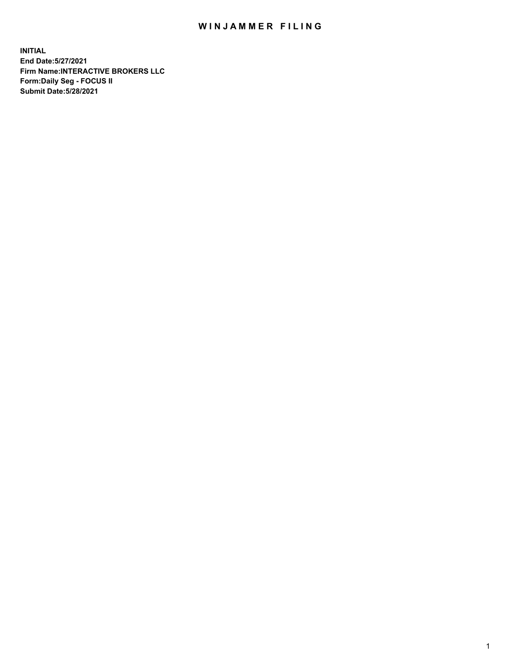## WIN JAMMER FILING

**INITIAL End Date:5/27/2021 Firm Name:INTERACTIVE BROKERS LLC Form:Daily Seg - FOCUS II Submit Date:5/28/2021**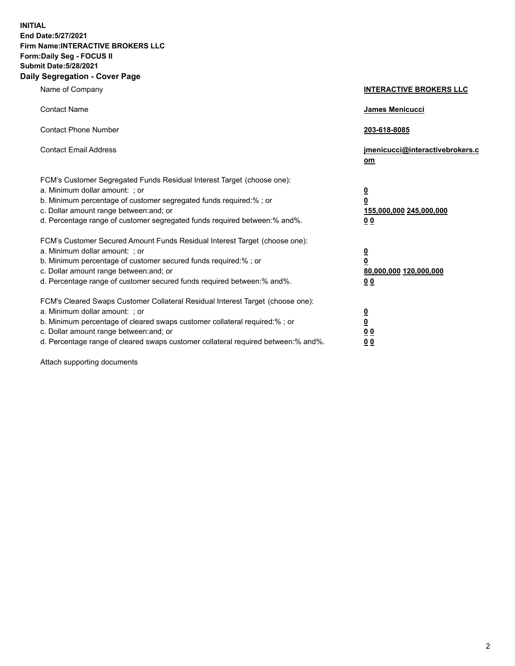**INITIAL End Date:5/27/2021 Firm Name:INTERACTIVE BROKERS LLC Form:Daily Seg - FOCUS II Submit Date:5/28/2021 Daily Segregation - Cover Page**

| Name of Company                                                                                                                                                                                                                                                                                                                | <b>INTERACTIVE BROKERS LLC</b>                                                   |  |
|--------------------------------------------------------------------------------------------------------------------------------------------------------------------------------------------------------------------------------------------------------------------------------------------------------------------------------|----------------------------------------------------------------------------------|--|
| <b>Contact Name</b>                                                                                                                                                                                                                                                                                                            | James Menicucci                                                                  |  |
| <b>Contact Phone Number</b>                                                                                                                                                                                                                                                                                                    | 203-618-8085                                                                     |  |
| <b>Contact Email Address</b>                                                                                                                                                                                                                                                                                                   | jmenicucci@interactivebrokers.c<br>om                                            |  |
| FCM's Customer Segregated Funds Residual Interest Target (choose one):<br>a. Minimum dollar amount: ; or<br>b. Minimum percentage of customer segregated funds required:% ; or<br>c. Dollar amount range between: and; or<br>d. Percentage range of customer segregated funds required between:% and%.                         | <u>0</u><br>$\overline{\mathbf{0}}$<br>155,000,000 245,000,000<br>0 <sub>0</sub> |  |
| FCM's Customer Secured Amount Funds Residual Interest Target (choose one):<br>a. Minimum dollar amount: ; or<br>b. Minimum percentage of customer secured funds required:% ; or<br>c. Dollar amount range between: and; or<br>d. Percentage range of customer secured funds required between:% and%.                           | <u>0</u><br>$\overline{\mathbf{0}}$<br>80,000,000 120,000,000<br>0 <sub>0</sub>  |  |
| FCM's Cleared Swaps Customer Collateral Residual Interest Target (choose one):<br>a. Minimum dollar amount: ; or<br>b. Minimum percentage of cleared swaps customer collateral required:% ; or<br>c. Dollar amount range between: and; or<br>d. Percentage range of cleared swaps customer collateral required between:% and%. | <u>0</u><br>$\underline{\mathbf{0}}$<br>0 <sub>0</sub><br>0 <sub>0</sub>         |  |

Attach supporting documents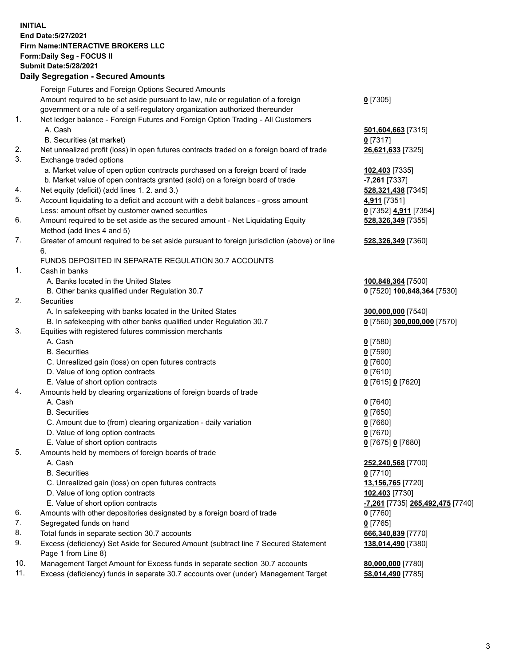**INITIAL End Date:5/27/2021 Firm Name:INTERACTIVE BROKERS LLC Form:Daily Seg - FOCUS II Submit Date:5/28/2021 Daily Segregation - Secured Amounts**

## Foreign Futures and Foreign Options Secured Amounts Amount required to be set aside pursuant to law, rule or regulation of a foreign government or a rule of a self-regulatory organization authorized thereunder **0** [7305] 1. Net ledger balance - Foreign Futures and Foreign Option Trading - All Customers A. Cash **501,604,663** [7315] B. Securities (at market) **0** [7317] 2. Net unrealized profit (loss) in open futures contracts traded on a foreign board of trade **26,621,633** [7325] 3. Exchange traded options a. Market value of open option contracts purchased on a foreign board of trade **102,403** [7335] b. Market value of open contracts granted (sold) on a foreign board of trade **-7,261** [7337] 4. Net equity (deficit) (add lines 1. 2. and 3.) **528,321,438** [7345] 5. Account liquidating to a deficit and account with a debit balances - gross amount **4,911** [7351] Less: amount offset by customer owned securities **0** [7352] **4,911** [7354] 6. Amount required to be set aside as the secured amount - Net Liquidating Equity Method (add lines 4 and 5) **528,326,349** [7355] 7. Greater of amount required to be set aside pursuant to foreign jurisdiction (above) or line 6. **528,326,349** [7360] FUNDS DEPOSITED IN SEPARATE REGULATION 30.7 ACCOUNTS 1. Cash in banks A. Banks located in the United States **100,848,364** [7500] B. Other banks qualified under Regulation 30.7 **0** [7520] **100,848,364** [7530] 2. Securities A. In safekeeping with banks located in the United States **300,000,000** [7540] B. In safekeeping with other banks qualified under Regulation 30.7 **0** [7560] **300,000,000** [7570] 3. Equities with registered futures commission merchants A. Cash **0** [7580] B. Securities **0** [7590] C. Unrealized gain (loss) on open futures contracts **0** [7600] D. Value of long option contracts **0** [7610] E. Value of short option contracts **0** [7615] **0** [7620] 4. Amounts held by clearing organizations of foreign boards of trade A. Cash **0** [7640] B. Securities **0** [7650] C. Amount due to (from) clearing organization - daily variation **0** [7660] D. Value of long option contracts **0** [7670] E. Value of short option contracts **0** [7675] **0** [7680] 5. Amounts held by members of foreign boards of trade A. Cash **252,240,568** [7700] B. Securities **0** [7710] C. Unrealized gain (loss) on open futures contracts **13,156,765** [7720] D. Value of long option contracts **102,403** [7730] E. Value of short option contracts **-7,261** [7735] **265,492,475** [7740] 6. Amounts with other depositories designated by a foreign board of trade **0** [7760] 7. Segregated funds on hand **0** [7765] 8. Total funds in separate section 30.7 accounts **666,340,839** [7770] 9. Excess (deficiency) Set Aside for Secured Amount (subtract line 7 Secured Statement Page 1 from Line 8) **138,014,490** [7380] 10. Management Target Amount for Excess funds in separate section 30.7 accounts **80,000,000** [7780] 11. Excess (deficiency) funds in separate 30.7 accounts over (under) Management Target **58,014,490** [7785]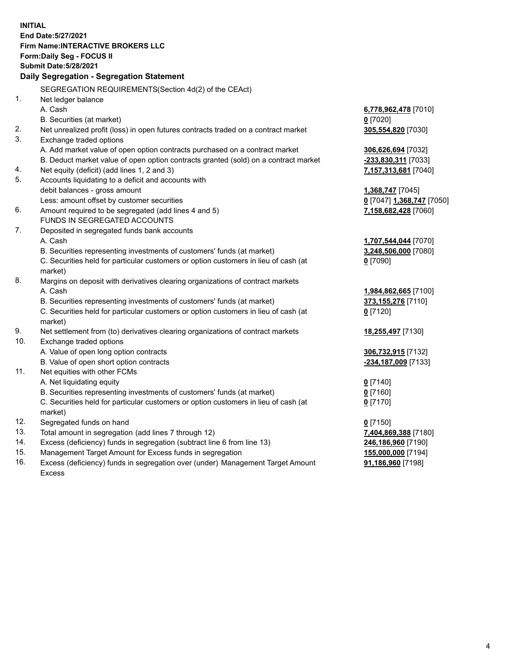**INITIAL End Date:5/27/2021 Firm Name:INTERACTIVE BROKERS LLC Form:Daily Seg - FOCUS II Submit Date:5/28/2021 Daily Segregation - Segregation Statement** SEGREGATION REQUIREMENTS(Section 4d(2) of the CEAct) 1. Net ledger balance A. Cash **6,778,962,478** [7010] B. Securities (at market) **0** [7020] 2. Net unrealized profit (loss) in open futures contracts traded on a contract market **305,554,820** [7030] 3. Exchange traded options A. Add market value of open option contracts purchased on a contract market **306,626,694** [7032] B. Deduct market value of open option contracts granted (sold) on a contract market **-233,830,311** [7033] 4. Net equity (deficit) (add lines 1, 2 and 3) **7,157,313,681** [7040] 5. Accounts liquidating to a deficit and accounts with debit balances - gross amount **1,368,747** [7045] Less: amount offset by customer securities **0** [7047] **1,368,747** [7050] 6. Amount required to be segregated (add lines 4 and 5) **7,158,682,428** [7060] FUNDS IN SEGREGATED ACCOUNTS 7. Deposited in segregated funds bank accounts A. Cash **1,707,544,044** [7070] B. Securities representing investments of customers' funds (at market) **3,248,506,000** [7080] C. Securities held for particular customers or option customers in lieu of cash (at market) **0** [7090] 8. Margins on deposit with derivatives clearing organizations of contract markets A. Cash **1,984,862,665** [7100] B. Securities representing investments of customers' funds (at market) **373,155,276** [7110] C. Securities held for particular customers or option customers in lieu of cash (at market) **0** [7120] 9. Net settlement from (to) derivatives clearing organizations of contract markets **18,255,497** [7130] 10. Exchange traded options A. Value of open long option contracts **306,732,915** [7132] B. Value of open short option contracts **-234,187,009** [7133] 11. Net equities with other FCMs A. Net liquidating equity **0** [7140] B. Securities representing investments of customers' funds (at market) **0** [7160] C. Securities held for particular customers or option customers in lieu of cash (at market) **0** [7170] 12. Segregated funds on hand **0** [7150] 13. Total amount in segregation (add lines 7 through 12) **7,404,869,388** [7180] 14. Excess (deficiency) funds in segregation (subtract line 6 from line 13) **246,186,960** [7190] 15. Management Target Amount for Excess funds in segregation **155,000,000** [7194] **91,186,960** [7198]

16. Excess (deficiency) funds in segregation over (under) Management Target Amount Excess